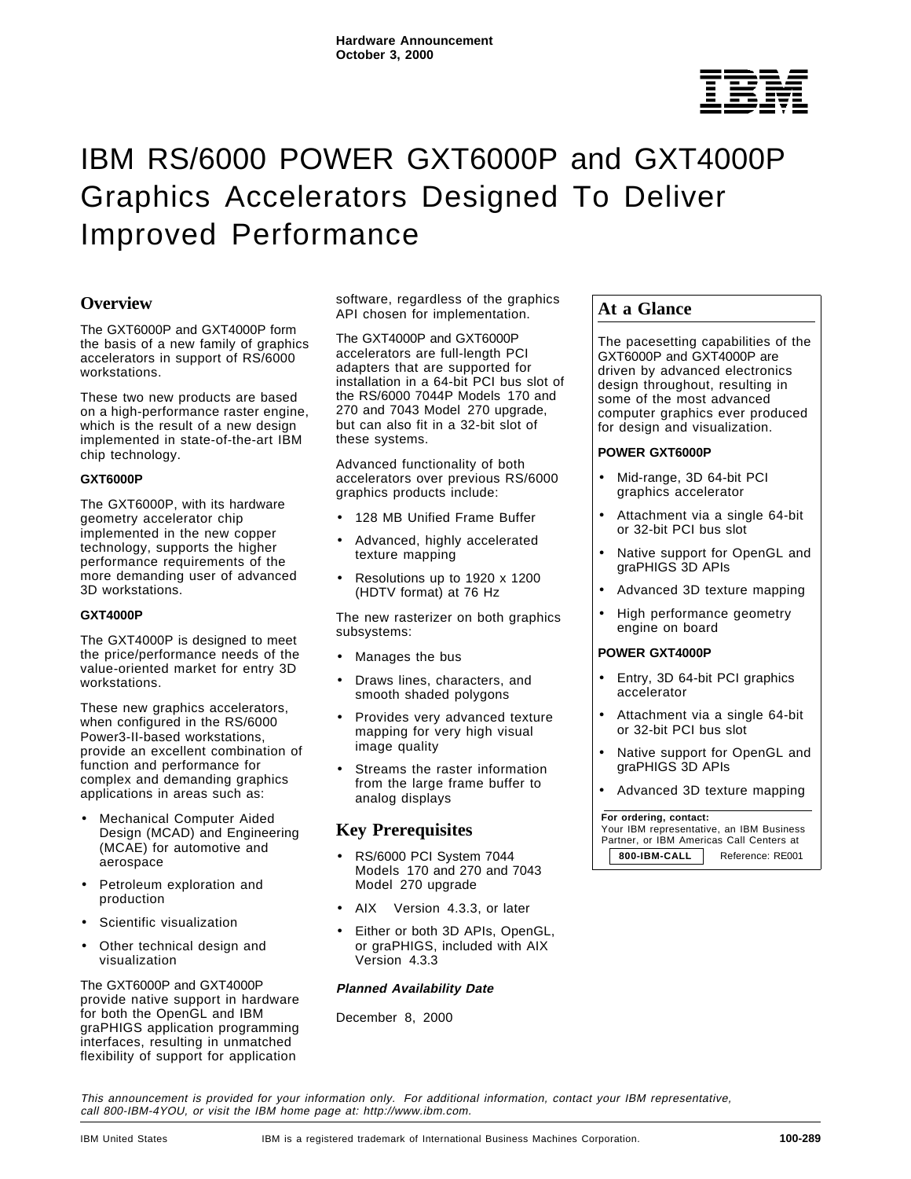

# IBM RS/6000 POWER GXT6000P and GXT4000P Graphics Accelerators Designed To Deliver Improved Performance

# **Overview**

The GXT6000P and GXT4000P form the basis of a new family of graphics accelerators in support of RS/6000 workstations.

These two new products are based on a high-performance raster engine, which is the result of a new design implemented in state-of-the-art IBM chip technology.

## **GXT6000P**

The GXT6000P, with its hardware geometry accelerator chip implemented in the new copper technology, supports the higher performance requirements of the more demanding user of advanced 3D workstations.

## **GXT4000P**

The GXT4000P is designed to meet the price/performance needs of the value-oriented market for entry 3D workstations.

These new graphics accelerators, when configured in the RS/6000 Power3-II-based workstations, provide an excellent combination of function and performance for complex and demanding graphics applications in areas such as:

- Mechanical Computer Aided Design (MCAD) and Engineering (MCAE) for automotive and aerospace
- Petroleum exploration and production
- Scientific visualization
- Other technical design and visualization

The GXT6000P and GXT4000P provide native support in hardware for both the OpenGL and IBM graPHIGS application programming interfaces, resulting in unmatched flexibility of support for application

software, regardless of the graphics API chosen for implementation.

The GXT4000P and GXT6000P accelerators are full-length PCI adapters that are supported for installation in a 64-bit PCI bus slot of the RS/6000 7044P Models 170 and 270 and 7043 Model 270 upgrade, but can also fit in a 32-bit slot of these systems.

Advanced functionality of both accelerators over previous RS/6000 graphics products include:

- 128 MB Unified Frame Buffer
- Advanced, highly accelerated texture mapping
- Resolutions up to 1920 x 1200 (HDTV format) at 76 Hz

The new rasterizer on both graphics subsystems:

- Manages the bus
- Draws lines, characters, and smooth shaded polygons
- Provides very advanced texture mapping for very high visual image quality
- Streams the raster information from the large frame buffer to analog displays

# **Key Prerequisites**

- RS/6000 PCI System 7044 Models 170 and 270 and 7043 Model 270 upgrade
- AIX<sup>®</sup> Version 4.3.3, or later
- Either or both 3D APIs, OpenGL, or graPHIGS, included with AIX Version 4.3.3

# **Planned Availability Date**

December 8, 2000

# **At a Glance**

The pacesetting capabilities of the GXT6000P and GXT4000P are driven by advanced electronics design throughout, resulting in some of the most advanced computer graphics ever produced for design and visualization.

## **POWER GXT6000P**

- Mid-range, 3D 64-bit PCI graphics accelerator
- Attachment via a single 64-bit or 32-bit PCI bus slot
- Native support for OpenGL and graPHIGS 3D APIs
- Advanced 3D texture mapping
- High performance geometry engine on board

## **POWER GXT4000P**

- Entry, 3D 64-bit PCI graphics accelerator
- Attachment via a single 64-bit or 32-bit PCI bus slot
- Native support for OpenGL and graPHIGS 3D APIs
- Advanced 3D texture mapping

#### **For ordering, contact:**

 Your IBM representative, an IBM Business Partner, or IBM Americas Call Centers at 800-IBM-CALL **Reference: RE001** 

This announcement is provided for your information only. For additional information, contact your IBM representative, call 800-IBM-4YOU, or visit the IBM home page at: http://www.ibm.com.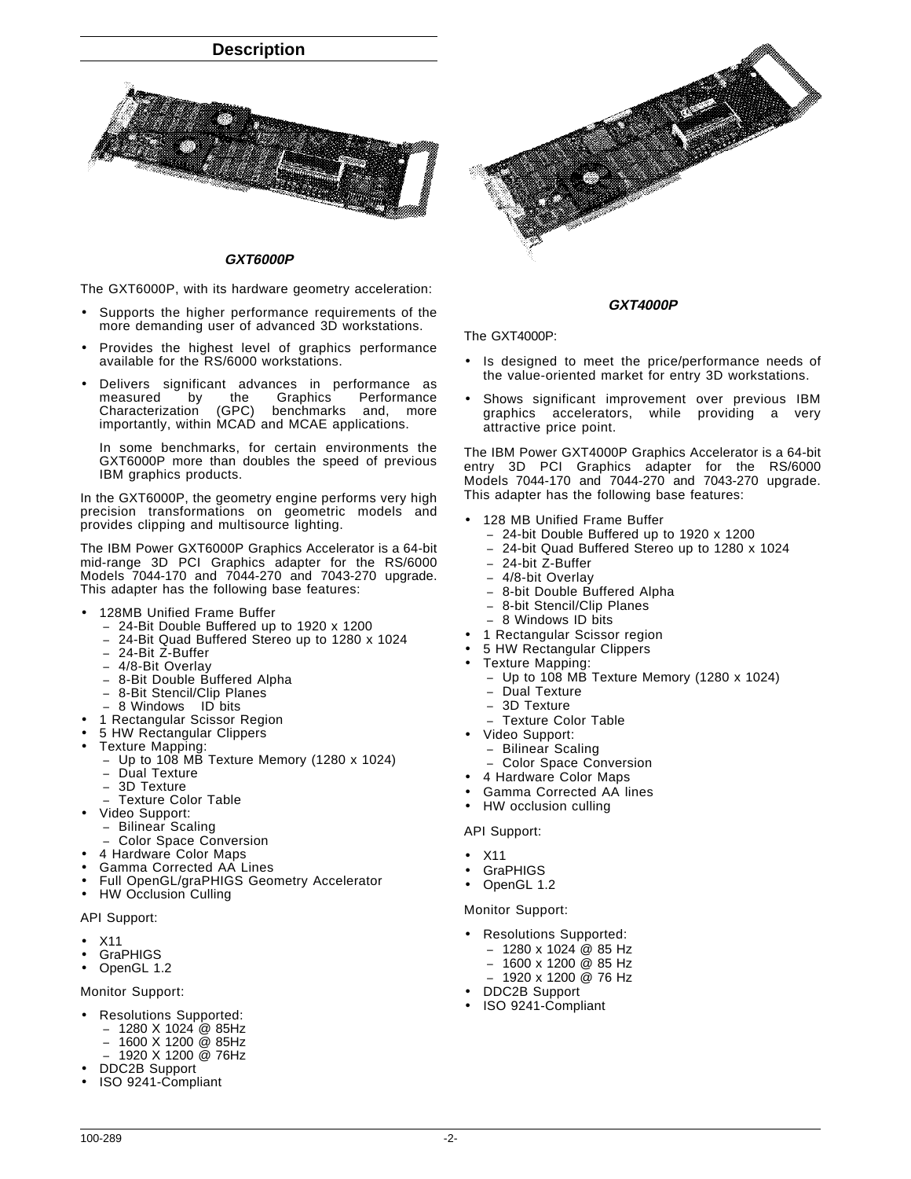

#### **GXT6000P**

The GXT6000P, with its hardware geometry acceleration:

- Supports the higher performance requirements of the more demanding user of advanced 3D workstations.
- Provides the highest level of graphics performance available for the RS/6000 workstations.
- Delivers significant advances in performance as<br>measured by the Graphics Performance by the Graphics Performance<br>ion (GPC) benchmarks and, more Characterization importantly, within MCAD and MCAE applications.

In some benchmarks, for certain environments the GXT6000P more than doubles the speed of previous IBM graphics products.

In the GXT6000P, the geometry engine performs very high precision transformations on geometric models and provides clipping and multisource lighting.

The IBM Power GXT6000P Graphics Accelerator is a 64-bit mid-range 3D PCI Graphics adapter for the RS/6000 Models 7044-170 and 7044-270 and 7043-270 upgrade. This adapter has the following base features:

- 128MB Unified Frame Buffer
	- − 24-Bit Double Buffered up to 1920 x 1200
	- − 24-Bit Quad Buffered Stereo up to 1280 x 1024
	- − 24-Bit Z-Buffer
	- − 4/8-Bit Overlay
	- − 8-Bit Double Buffered Alpha
	- − 8-Bit Stencil/Clip Planes
	- 8 Windows<sup>™</sup> ID bits
- 1 Rectangular Scissor Region
- 5 HW Rectangular Clippers
- Texture Mapping:
	- − Up to 108 MB Texture Memory (1280 x 1024)
	- Dual Texture
	- − 3D Texture
	- − Texture Color Table
- Video Support:
- Bilinear Scaling
	- Color Space Conversion
- 4 Hardware Color Maps
- Gamma Corrected AA Lines
- Full OpenGL/graPHIGS Geometry Accelerator
- HW Occlusion Culling

#### API Support:

- X11
- **GraPHIGS**
- OpenGL 1.2

Monitor Support:

- Resolutions Supported:
- − 1280 X 1024 @ 85Hz
	- − 1600 X 1200 @ 85Hz
- − 1920 X 1200 @ 76Hz
- DDC2B Support
- ISO 9241-Compliant



#### **GXT4000P**

The GXT4000P:

- Is designed to meet the price/performance needs of the value-oriented market for entry 3D workstations.
- Shows significant improvement over previous IBM graphics accelerators, while providing a very attractive price point.

The IBM Power GXT4000P Graphics Accelerator is a 64-bit entry 3D PCI Graphics adapter for the RS/6000 Models 7044-170 and 7044-270 and 7043-270 upgrade. This adapter has the following base features:

- 128 MB Unified Frame Buffer
	- − 24-bit Double Buffered up to 1920 x 1200
	- − 24-bit Quad Buffered Stereo up to 1280 x 1024
	- − 24-bit Z-Buffer
	- − 4/8-bit Overlay
	- − 8-bit Double Buffered Alpha
	- − 8-bit Stencil/Clip Planes
	- − 8 Windows ID bits
	- 1 Rectangular Scissor region
- 5 HW Rectangular Clippers
- Texture Mapping:
	- − Up to 108 MB Texture Memory (1280 x 1024)
	- Dual Texture
	- − 3D Texture
	- − Texture Color Table
- Video Support:
	- − Bilinear Scaling
	- Color Space Conversion
	- 4 Hardware Color Maps
- Gamma Corrected AA lines
- HW occlusion culling

#### API Support:

- X11
- **GraPHIGS**
- OpenGL 1.2

#### Monitor Support:

- Resolutions Supported:
- − 1280 x 1024 @ 85 Hz
- − 1600 x 1200 @ 85 Hz
- − 1920 x 1200 @ 76 Hz
- DDC2B Support
- ISO 9241-Compliant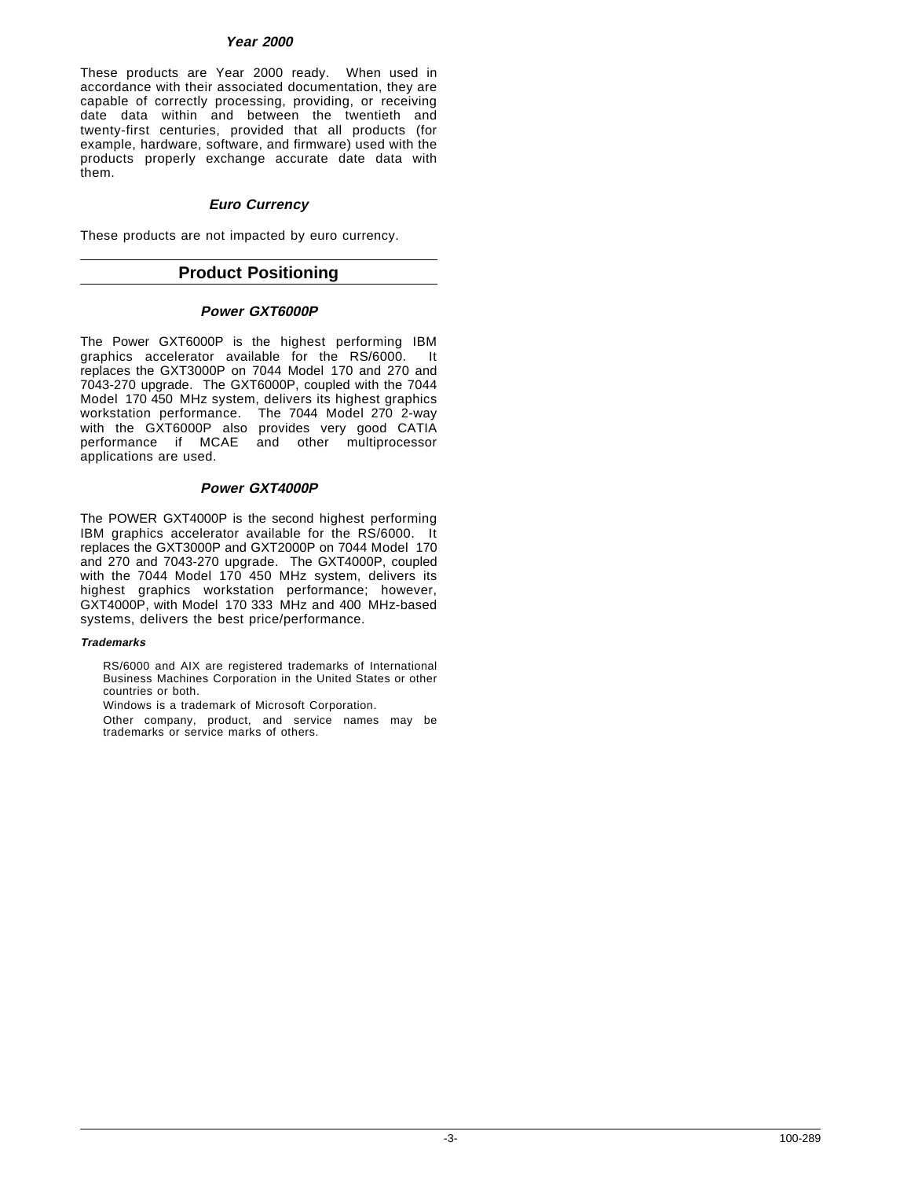# **Year 2000**

These products are Year 2000 ready. When used in accordance with their associated documentation, they are capable of correctly processing, providing, or receiving date data within and between the twentieth and twenty-first centuries, provided that all products (for example, hardware, software, and firmware) used with the products properly exchange accurate date data with them.

# **Euro Currency**

These products are not impacted by euro currency.

# **Product Positioning**

# **Power GXT6000P**

The Power GXT6000P is the highest performing IBM graphics accelerator available for the RS/6000. It replaces the GXT3000P on 7044 Model 170 and 270 and 7043-270 upgrade. The GXT6000P, coupled with the 7044 Model 170 450 MHz system, delivers its highest graphics workstation performance. The 7044 Model 270 2-way with the GXT6000P also provides very good CATIA performance if MCAE and other multiprocessor applications are used.

# **Power GXT4000P**

The POWER GXT4000P is the second highest performing IBM graphics accelerator available for the RS/6000. It replaces the GXT3000P and GXT2000P on 7044 Model 170 and 270 and 7043-270 upgrade. The GXT4000P, coupled with the 7044 Model 170 450 MHz system, delivers its highest graphics workstation performance; however, GXT4000P, with Model 170 333 MHz and 400 MHz-based systems, delivers the best price/performance.

## **Trademarks**

RS/6000 and AIX are registered trademarks of International Business Machines Corporation in the United States or other countries or both.

Windows is a trademark of Microsoft Corporation.

Other company, product, and service names may be trademarks or service marks of others.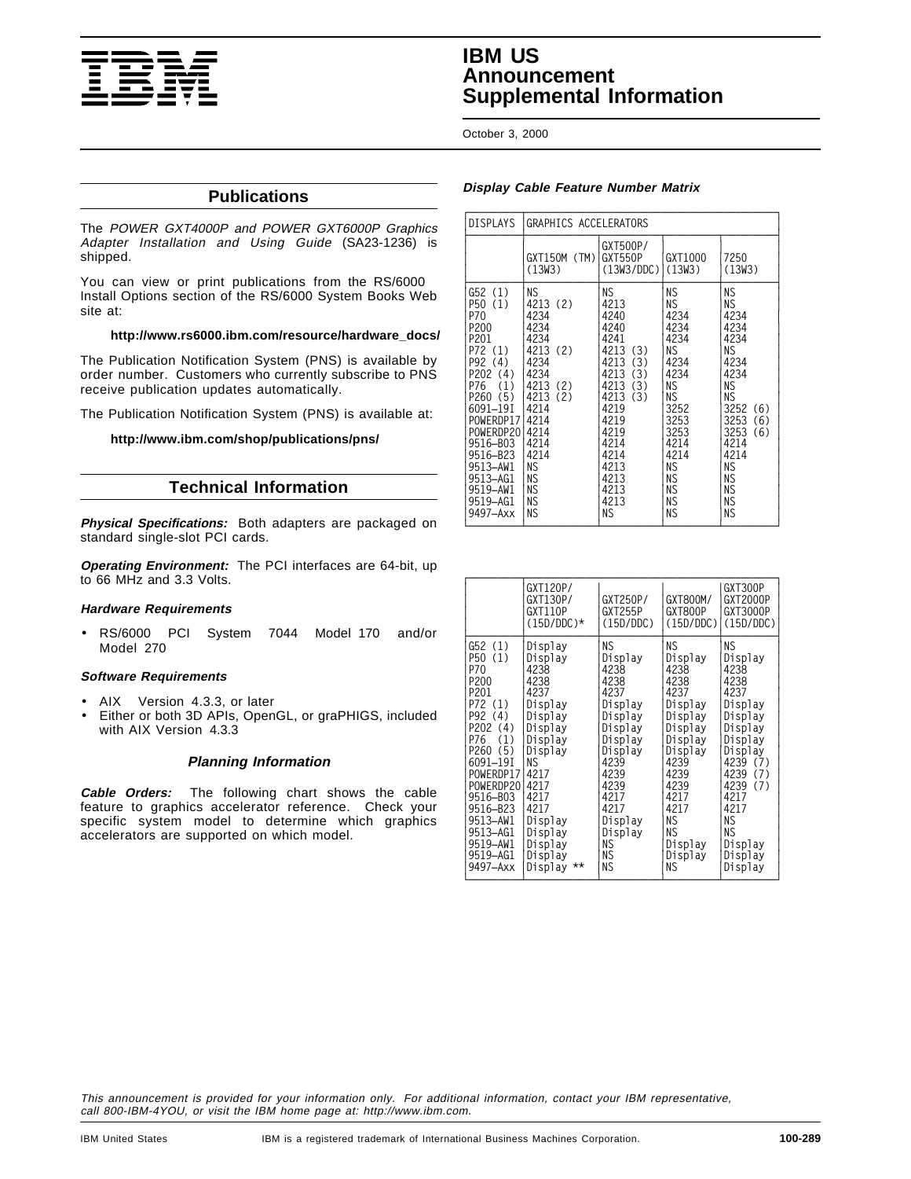

# **IBM US Announcement Supplemental Information**

October 3, 2000

# **Publications**

The POWER GXT4000P and POWER GXT6000P Graphics Adapter Installation and Using Guide (SA23-1236) is shipped.

You can view or print publications from the RS/6000 Install Options section of the RS/6000 System Books Web site at:

## **http://www.rs6000.ibm.com/resource/hardware\_docs/**

The Publication Notification System (PNS) is available by order number. Customers who currently subscribe to PNS receive publication updates automatically.

The Publication Notification System (PNS) is available at:

## **http://www.ibm.com/shop/publications/pns/**

# **Technical Information**

**Physical Specifications:** Both adapters are packaged on standard single-slot PCI cards.

**Operating Environment:** The PCI interfaces are 64-bit, up to 66 MHz and 3.3 Volts.

## **Hardware Requirements**

• RS/6000 PCI System 7044 Model 170 and/or Model 270

#### **Software Requirements**

- AIX<sup>®</sup> Version 4.3.3, or later
- Either or both 3D APIs, OpenGL, or graPHIGS, included with AIX Version 4.3.3

## **Planning Information**

**Cable Orders:** The following chart shows the cable feature to graphics accelerator reference. Check your specific system model to determine which graphics accelerators are supported on which model.

## **Display Cable Feature Number Matrix**

| <b>DISPLAYS</b>                                                                                                                                                                                                                      | GRAPHICS ACCELERATORS                                                                                                                                                             |                                                                                                                                                                                             |                                                                                                                                                                              |                                                                                                                                                                                                                        |
|--------------------------------------------------------------------------------------------------------------------------------------------------------------------------------------------------------------------------------------|-----------------------------------------------------------------------------------------------------------------------------------------------------------------------------------|---------------------------------------------------------------------------------------------------------------------------------------------------------------------------------------------|------------------------------------------------------------------------------------------------------------------------------------------------------------------------------|------------------------------------------------------------------------------------------------------------------------------------------------------------------------------------------------------------------------|
|                                                                                                                                                                                                                                      | (TM)<br>GXT150M<br>(13W3)                                                                                                                                                         | GXT500P/<br>GXT550P<br>(13W3/DDC)                                                                                                                                                           | GXT1000<br>(13W3)                                                                                                                                                            | 7250<br>(13W3)                                                                                                                                                                                                         |
| G52(1)<br>(1)<br>P50<br>P70<br>P200<br>P201<br>P72 (1)<br>P92 (4)<br>P202 (4)<br>(1)<br>P76<br>(5)<br>P260<br>6091-191<br>POWERDP17<br>POWERDP20<br>9516-B03<br>9516-B23<br>9513-AW1<br>9513-AG1<br>9519-AW1<br>9519-AG1<br>9497-Axx | ΝS<br>4213 (2)<br>4234<br>4234<br>4234<br>4213 (2)<br>4234<br>4234<br>4213 (2)<br>4213<br>(2)<br>4214<br>4214<br>4214<br>4214<br>4214<br><b>NS</b><br>ΝS<br>ΝS<br><b>NS</b><br>ΝS | ΝS<br>4213<br>4240<br>4240<br>4241<br>4213<br>(3)<br>4213<br>(3)<br>4213<br>(3)<br>(3)<br>4213<br>4213<br>(3)<br>4219<br>4219<br>4219<br>4214<br>4214<br>4213<br>4213<br>4213<br>4213<br>ΝS | ΝS<br><b>NS</b><br>4234<br>4234<br>4234<br>NS.<br>4234<br>4234<br>ΝS<br><b>NS</b><br>3252<br>3253<br>3253<br>4214<br>4214<br><b>NS</b><br><b>NS</b><br>ΝS<br><b>NS</b><br>ΝS | <b>NS</b><br>ΝS<br>4234<br>4234<br>4234<br>NS.<br>4234<br>4234<br><b>NS</b><br><b>NS</b><br>3252<br>(6)<br>3253<br>(6)<br>3253<br>(6)<br>4214<br>4214<br><b>NS</b><br><b>NS</b><br><b>NS</b><br><b>NS</b><br><b>NS</b> |

|                                                                                                                                                                                                                                         | GXT120P/<br>GXT130P/<br>GXT110P<br>$(15D/DDC)$ *                                                                                                                                                               | GXT250P/<br>GXT255P<br>(15D/DDC)                                                                                                                                                    | GXT800M/<br>GXT800P<br>(15D/DDC)                                                                                                                                             | GXT300P<br>GXT2000P<br>GXT3000P<br>(15D/DDC)                                                                                                                                                  |
|-----------------------------------------------------------------------------------------------------------------------------------------------------------------------------------------------------------------------------------------|----------------------------------------------------------------------------------------------------------------------------------------------------------------------------------------------------------------|-------------------------------------------------------------------------------------------------------------------------------------------------------------------------------------|------------------------------------------------------------------------------------------------------------------------------------------------------------------------------|-----------------------------------------------------------------------------------------------------------------------------------------------------------------------------------------------|
| G52(1)<br>P50 (1)<br>P70<br>P <sub>200</sub><br>P201<br>P72 (1)<br>P92 (4)<br>P202 (4)<br>P76 (1)<br>P260 (5)<br>6091-191<br>POWERDP17<br>POWERDP20<br>9516-B03<br>9516-B23<br>9513-AW1<br>9513–AG1<br>9519-AW1<br>9519–AG1<br>9497-Axx | Display<br>Display<br>4238<br>4238<br>4237<br>Display<br>Display<br>Display<br>Display<br>Display<br>ΝS<br>4217<br>4217<br>4217<br>4217<br>Display<br>Display<br>Display<br>Display<br>$\star\star$<br>Display | ΝS<br>Display<br>4238<br>4238<br>4237<br>Display<br>Display<br>Display<br>Display<br>Display<br>4239<br>4239<br>4239<br>4217<br>4217<br>Display<br>Display<br><b>NS</b><br>ΝS<br>ΝS | ΝS<br>Display<br>4238<br>4238<br>4237<br>Display<br>Display<br>Display<br>Display<br>Display<br>4239<br>4239<br>4239<br>4217<br>4217<br>ΝS<br>ΝS<br>Display<br>Display<br>ΝS | ΝS<br>Display<br>4238<br>4238<br>4237<br>Display<br>Display<br>Display<br>Display<br>Display<br>4239 (7)<br>4239 (7)<br>4239 (7)<br>4217<br>4217<br>ΝS<br>ΝS<br>Display<br>Display<br>Display |

This announcement is provided for your information only. For additional information, contact your IBM representative, call 800-IBM-4YOU, or visit the IBM home page at: http://www.ibm.com.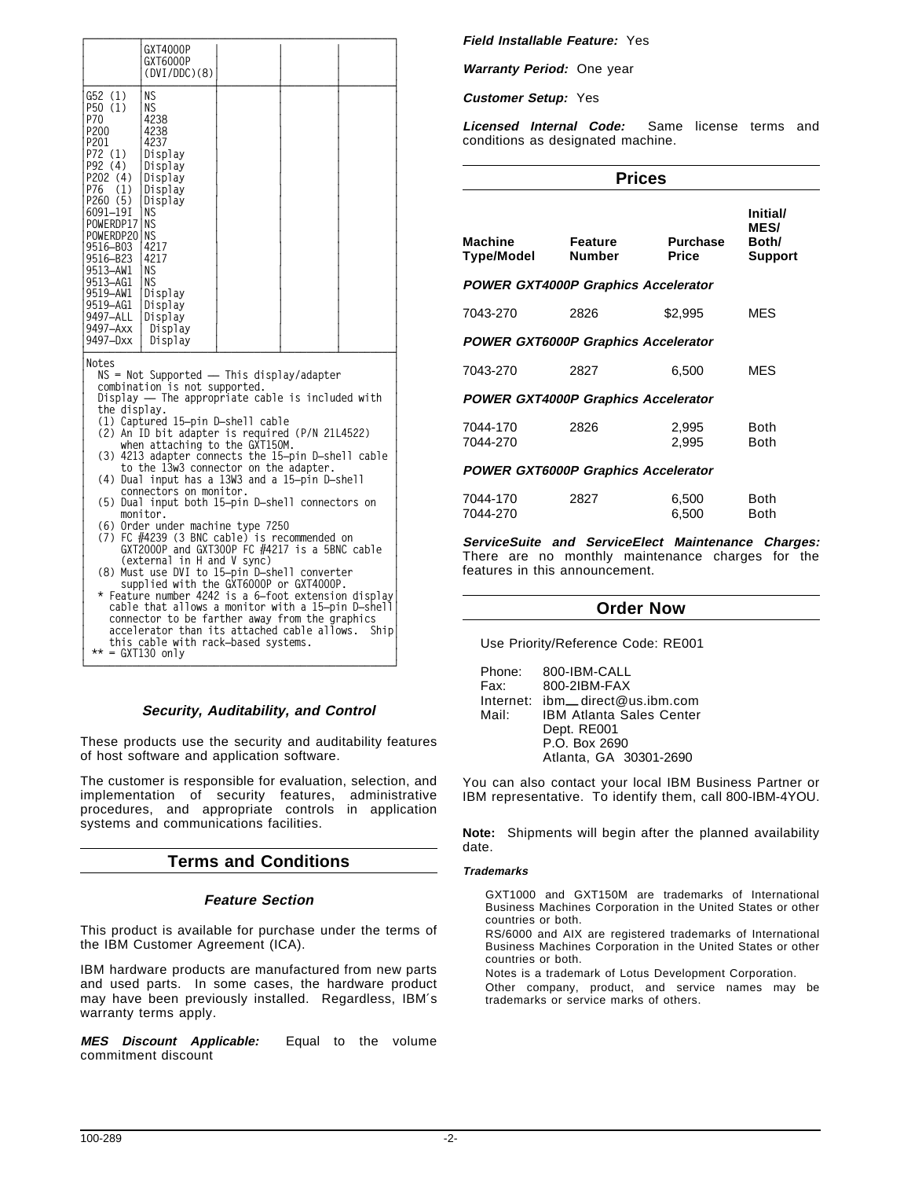|                                                                                                                                                                                                                                                                                                                                                                                                                                                                                                                                                                                                                                                                                                                                                                                                                                                                                                                                                                 | GXT4000P<br>GXT6000P<br>(DVI/DDC)(8)                                                                                                                                                                       |  |  |
|-----------------------------------------------------------------------------------------------------------------------------------------------------------------------------------------------------------------------------------------------------------------------------------------------------------------------------------------------------------------------------------------------------------------------------------------------------------------------------------------------------------------------------------------------------------------------------------------------------------------------------------------------------------------------------------------------------------------------------------------------------------------------------------------------------------------------------------------------------------------------------------------------------------------------------------------------------------------|------------------------------------------------------------------------------------------------------------------------------------------------------------------------------------------------------------|--|--|
| G52 (1)<br>P50 (1)<br>P70<br>P200<br>P201<br>P72 (1)<br>P92 (4)<br>P202 (4)<br>P76<br>(1)<br>P260 (5)<br>6091-19I<br>POWERDP17<br>POWERDP20<br>9516-B03<br>9516-B23<br>9513-AW1<br>9513-AG1<br>9519-AW1<br>9519–AG1<br>9497-ALL<br>9497–Axx<br>9497-Dxx                                                                                                                                                                                                                                                                                                                                                                                                                                                                                                                                                                                                                                                                                                         | ΝS<br><b>NS</b><br>4238<br>4238<br>4237<br>Display<br>Display<br>Display<br>Display<br>Display<br>ΝS<br>ΝS<br><b>NS</b><br>4217<br>4217<br>ΝS<br>ΝS<br>Display<br>Display<br>Display<br>Display<br>Display |  |  |
| Notes<br>NS = Not Supported - This display/adapter<br>combination is not supported.<br>Display - The appropriate cable is included with<br>the display.<br>(1) Captured 15-pin D-shell cable<br>(2) An ID bit adapter is required (P/N 21L4522)<br>when attaching to the GXT150M.<br>(3) 4213 adapter connects the 15-pin D-shell cable<br>to the 13w3 connector on the adapter.<br>(4) Dual input has a 13W3 and a 15-pin D-shell<br>connectors on monitor.<br>(5) Dual input both 15-pin D-shell connectors on<br>monitor.<br>(6) Order under machine type 7250<br>$(7)$ FC $#4239$ (3 BNC cable) is recommended on<br>GXT2000P and GXT300P FC $#4217$ is a 5BNC cable<br>(external in H and V sync)<br>(8) Must use DVI to 15-pin D-shell converter<br>supplied with the GXT6000P or GXT4000P.<br>* Feature number 4242 is a 6-foot extension display<br>cable that allows a monitor with a 15-pin D-shell<br>connector to be farther away from the graphics |                                                                                                                                                                                                            |  |  |
| accelerator than its attached cable allows.<br>Ship                                                                                                                                                                                                                                                                                                                                                                                                                                                                                                                                                                                                                                                                                                                                                                                                                                                                                                             |                                                                                                                                                                                                            |  |  |

# **Security, Auditability, and Control**

**└─────────────────────────────────────────────────────┘**

**this cable with rack-based systems.** 

**│ \*\* = GXT130 only │**

These products use the security and auditability features of host software and application software.

The customer is responsible for evaluation, selection, and implementation of security features, administrative procedures, and appropriate controls in application systems and communications facilities.

# **Terms and Conditions**

## **Feature Section**

This product is available for purchase under the terms of the IBM Customer Agreement (ICA).

IBM hardware products are manufactured from new parts and used parts. In some cases, the hardware product may have been previously installed. Regardless, IBM′s warranty terms apply.

**MES Discount Applicable:** Equal to the volume commitment discount

**Field Installable Feature:** Yes

**Warranty Period:** One year

**Customer Setup:** Yes

**Licensed Internal Code:** Same license terms and conditions as designated machine.

| × |  |
|---|--|
|---|--|

| <b>Machine</b><br>Type/Model               | Feature<br><b>Number</b> | <b>Purchase</b><br>Price | Initial/<br><b>MES/</b><br>Both/<br><b>Support</b> |
|--------------------------------------------|--------------------------|--------------------------|----------------------------------------------------|
| <b>POWER GXT4000P Graphics Accelerator</b> |                          |                          |                                                    |
| 7043-270                                   | 2826                     | \$2,995                  | MES                                                |
| <b>POWER GXT6000P Graphics Accelerator</b> |                          |                          |                                                    |
| 7043-270                                   | 2827                     | 6.500                    | MES                                                |
| <b>POWER GXT4000P Graphics Accelerator</b> |                          |                          |                                                    |
| 7044-170<br>7044-270                       | 2826                     | 2,995<br>2,995           | Both<br>Both                                       |
| <b>POWER GXT6000P Graphics Accelerator</b> |                          |                          |                                                    |

| 7044-170 | 2827 | 6.500 | Both |
|----------|------|-------|------|
| 7044-270 |      | 6.500 | Both |

**ServiceSuite and ServiceElect Maintenance Charges:** There are no monthly maintenance charges for the features in this announcement.

## **Order Now**

Use Priority/Reference Code: RE001

| Phone: | 800-IBM-CALL                       |
|--------|------------------------------------|
| Fax:   | 800-2IBM-FAX                       |
|        | Internet: ibm __ direct@us.ibm.com |
| Mail:  | <b>IBM Atlanta Sales Center</b>    |
|        | Dept. RE001                        |
|        | P.O. Box 2690                      |
|        | Atlanta, GA 30301-2690             |
|        |                                    |

You can also contact your local IBM Business Partner or IBM representative. To identify them, call 800-IBM-4YOU.

**Note:** Shipments will begin after the planned availability date.

#### **Trademarks**

GXT1000 and GXT150M are trademarks of International Business Machines Corporation in the United States or other countries or both.

RS/6000 and AIX are registered trademarks of International Business Machines Corporation in the United States or other countries or both.

Notes is a trademark of Lotus Development Corporation.

Other company, product, and service names may be trademarks or service marks of others.